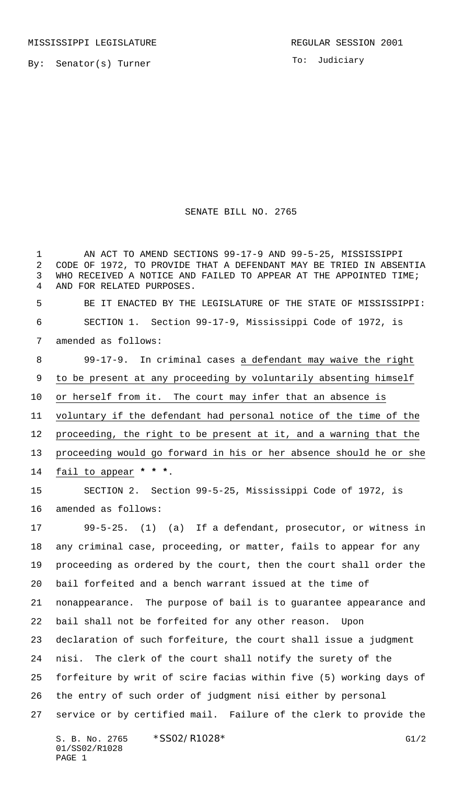To: Judiciary

## SENATE BILL NO. 2765

 AN ACT TO AMEND SECTIONS 99-17-9 AND 99-5-25, MISSISSIPPI CODE OF 1972, TO PROVIDE THAT A DEFENDANT MAY BE TRIED IN ABSENTIA WHO RECEIVED A NOTICE AND FAILED TO APPEAR AT THE APPOINTED TIME; AND FOR RELATED PURPOSES. BE IT ENACTED BY THE LEGISLATURE OF THE STATE OF MISSISSIPPI: SECTION 1. Section 99-17-9, Mississippi Code of 1972, is amended as follows: 8 99-17-9. In criminal cases a defendant may waive the right to be present at any proceeding by voluntarily absenting himself or herself from it. The court may infer that an absence is voluntary if the defendant had personal notice of the time of the proceeding, the right to be present at it, and a warning that the proceeding would go forward in his or her absence should he or she fail to appear **\* \* \***. SECTION 2. Section 99-5-25, Mississippi Code of 1972, is amended as follows: 99-5-25. (1) (a) If a defendant, prosecutor, or witness in any criminal case, proceeding, or matter, fails to appear for any proceeding as ordered by the court, then the court shall order the bail forfeited and a bench warrant issued at the time of nonappearance. The purpose of bail is to guarantee appearance and bail shall not be forfeited for any other reason. Upon declaration of such forfeiture, the court shall issue a judgment nisi. The clerk of the court shall notify the surety of the forfeiture by writ of scire facias within five (5) working days of the entry of such order of judgment nisi either by personal service or by certified mail. Failure of the clerk to provide the

S. B. No. 2765 \* SSO2/R1028\* G1/2 01/SS02/R1028 PAGE 1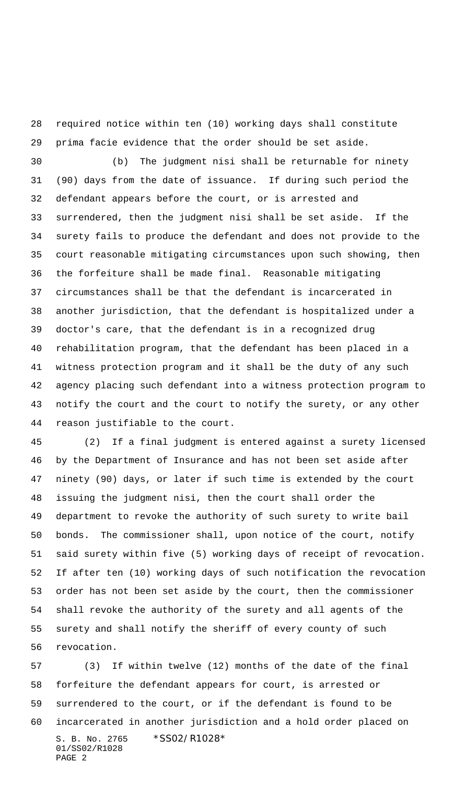required notice within ten (10) working days shall constitute prima facie evidence that the order should be set aside.

 (b) The judgment nisi shall be returnable for ninety (90) days from the date of issuance. If during such period the defendant appears before the court, or is arrested and surrendered, then the judgment nisi shall be set aside. If the surety fails to produce the defendant and does not provide to the court reasonable mitigating circumstances upon such showing, then the forfeiture shall be made final. Reasonable mitigating circumstances shall be that the defendant is incarcerated in another jurisdiction, that the defendant is hospitalized under a doctor's care, that the defendant is in a recognized drug rehabilitation program, that the defendant has been placed in a witness protection program and it shall be the duty of any such agency placing such defendant into a witness protection program to notify the court and the court to notify the surety, or any other reason justifiable to the court.

 (2) If a final judgment is entered against a surety licensed by the Department of Insurance and has not been set aside after ninety (90) days, or later if such time is extended by the court issuing the judgment nisi, then the court shall order the department to revoke the authority of such surety to write bail bonds. The commissioner shall, upon notice of the court, notify said surety within five (5) working days of receipt of revocation. If after ten (10) working days of such notification the revocation order has not been set aside by the court, then the commissioner shall revoke the authority of the surety and all agents of the surety and shall notify the sheriff of every county of such revocation.

S. B. No. 2765 \*SS02/R1028\* 01/SS02/R1028 PAGE 2 (3) If within twelve (12) months of the date of the final forfeiture the defendant appears for court, is arrested or surrendered to the court, or if the defendant is found to be incarcerated in another jurisdiction and a hold order placed on